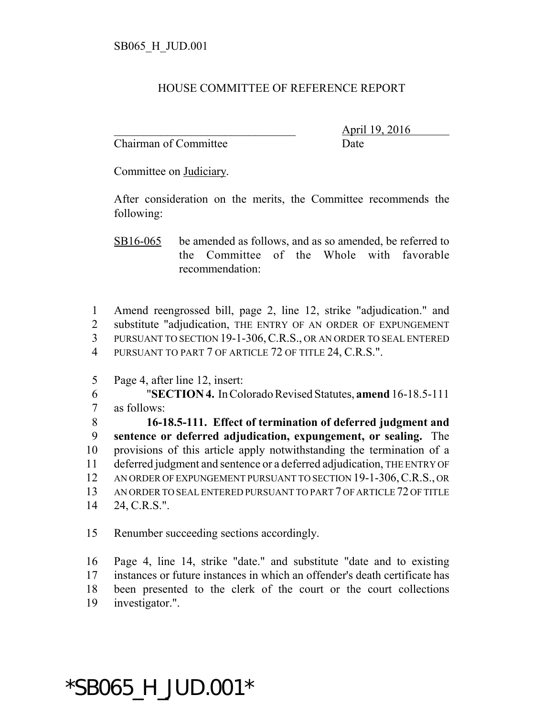## HOUSE COMMITTEE OF REFERENCE REPORT

Chairman of Committee Date

\_\_\_\_\_\_\_\_\_\_\_\_\_\_\_\_\_\_\_\_\_\_\_\_\_\_\_\_\_\_\_ April 19, 2016

Committee on Judiciary.

After consideration on the merits, the Committee recommends the following:

SB16-065 be amended as follows, and as so amended, be referred to the Committee of the Whole with favorable recommendation:

 Amend reengrossed bill, page 2, line 12, strike "adjudication." and substitute "adjudication, THE ENTRY OF AN ORDER OF EXPUNGEMENT PURSUANT TO SECTION 19-1-306,C.R.S., OR AN ORDER TO SEAL ENTERED PURSUANT TO PART 7 OF ARTICLE 72 OF TITLE 24, C.R.S.".

5 Page 4, after line 12, insert:

6 "**SECTION 4.** In Colorado Revised Statutes, **amend** 16-18.5-111 7 as follows:

 **16-18.5-111. Effect of termination of deferred judgment and sentence or deferred adjudication, expungement, or sealing.** The provisions of this article apply notwithstanding the termination of a deferred judgment and sentence or a deferred adjudication, THE ENTRY OF 12 AN ORDER OF EXPUNGEMENT PURSUANT TO SECTION 19-1-306, C.R.S., OR AN ORDER TO SEAL ENTERED PURSUANT TO PART 7 OF ARTICLE 72 OF TITLE 24, C.R.S.".

15 Renumber succeeding sections accordingly.

 Page 4, line 14, strike "date." and substitute "date and to existing instances or future instances in which an offender's death certificate has been presented to the clerk of the court or the court collections investigator.".

## \*SB065\_H\_JUD.001\*